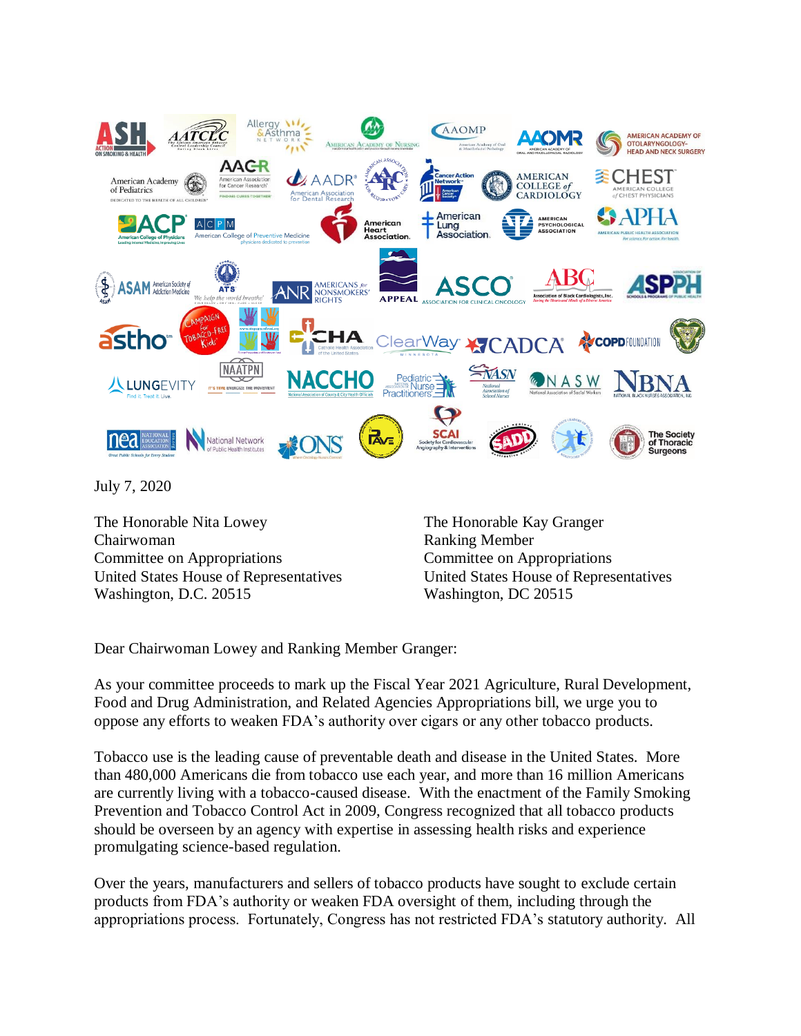

July 7, 2020

The Honorable Nita Lowey Chairwoman Committee on Appropriations United States House of Representatives Washington, D.C. 20515

The Honorable Kay Granger Ranking Member Committee on Appropriations United States House of Representatives Washington, DC 20515

Dear Chairwoman Lowey and Ranking Member Granger:

As your committee proceeds to mark up the Fiscal Year 2021 Agriculture, Rural Development, Food and Drug Administration, and Related Agencies Appropriations bill, we urge you to oppose any efforts to weaken FDA's authority over cigars or any other tobacco products.

Tobacco use is the leading cause of preventable death and disease in the United States. More than 480,000 Americans die from tobacco use each year, and more than 16 million Americans are currently living with a tobacco-caused disease. With the enactment of the Family Smoking Prevention and Tobacco Control Act in 2009, Congress recognized that all tobacco products should be overseen by an agency with expertise in assessing health risks and experience promulgating science-based regulation.

Over the years, manufacturers and sellers of tobacco products have sought to exclude certain products from FDA's authority or weaken FDA oversight of them, including through the appropriations process. Fortunately, Congress has not restricted FDA's statutory authority. All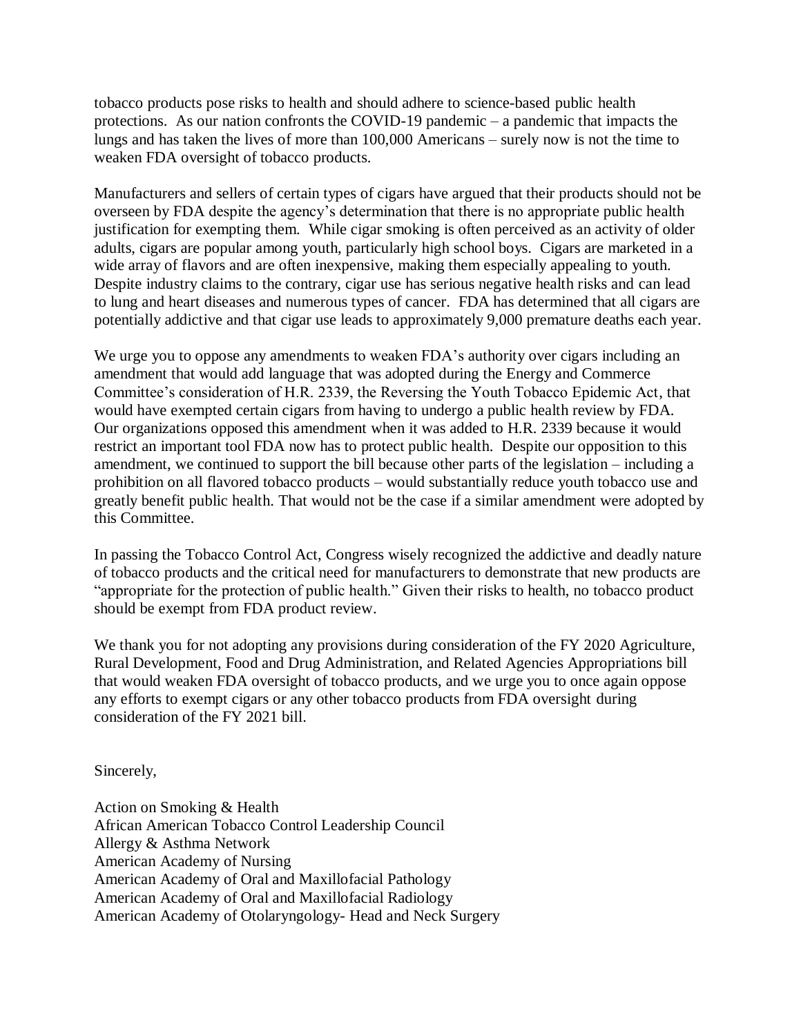tobacco products pose risks to health and should adhere to science-based public health protections. As our nation confronts the COVID-19 pandemic – a pandemic that impacts the lungs and has taken the lives of more than 100,000 Americans – surely now is not the time to weaken FDA oversight of tobacco products.

Manufacturers and sellers of certain types of cigars have argued that their products should not be overseen by FDA despite the agency's determination that there is no appropriate public health justification for exempting them. While cigar smoking is often perceived as an activity of older adults, cigars are popular among youth, particularly high school boys. Cigars are marketed in a wide array of flavors and are often inexpensive, making them especially appealing to youth. Despite industry claims to the contrary, cigar use has serious negative health risks and can lead to lung and heart diseases and numerous types of cancer. FDA has determined that all cigars are potentially addictive and that cigar use leads to approximately 9,000 premature deaths each year.

We urge you to oppose any amendments to weaken FDA's authority over cigars including an amendment that would add language that was adopted during the Energy and Commerce Committee's consideration of H.R. 2339, the Reversing the Youth Tobacco Epidemic Act, that would have exempted certain cigars from having to undergo a public health review by FDA. Our organizations opposed this amendment when it was added to H.R. 2339 because it would restrict an important tool FDA now has to protect public health. Despite our opposition to this amendment, we continued to support the bill because other parts of the legislation – including a prohibition on all flavored tobacco products – would substantially reduce youth tobacco use and greatly benefit public health. That would not be the case if a similar amendment were adopted by this Committee.

In passing the Tobacco Control Act, Congress wisely recognized the addictive and deadly nature of tobacco products and the critical need for manufacturers to demonstrate that new products are "appropriate for the protection of public health." Given their risks to health, no tobacco product should be exempt from FDA product review.

We thank you for not adopting any provisions during consideration of the FY 2020 Agriculture, Rural Development, Food and Drug Administration, and Related Agencies Appropriations bill that would weaken FDA oversight of tobacco products, and we urge you to once again oppose any efforts to exempt cigars or any other tobacco products from FDA oversight during consideration of the FY 2021 bill.

Sincerely,

Action on Smoking & Health African American Tobacco Control Leadership Council Allergy & Asthma Network American Academy of Nursing American Academy of Oral and Maxillofacial Pathology American Academy of Oral and Maxillofacial Radiology American Academy of Otolaryngology- Head and Neck Surgery